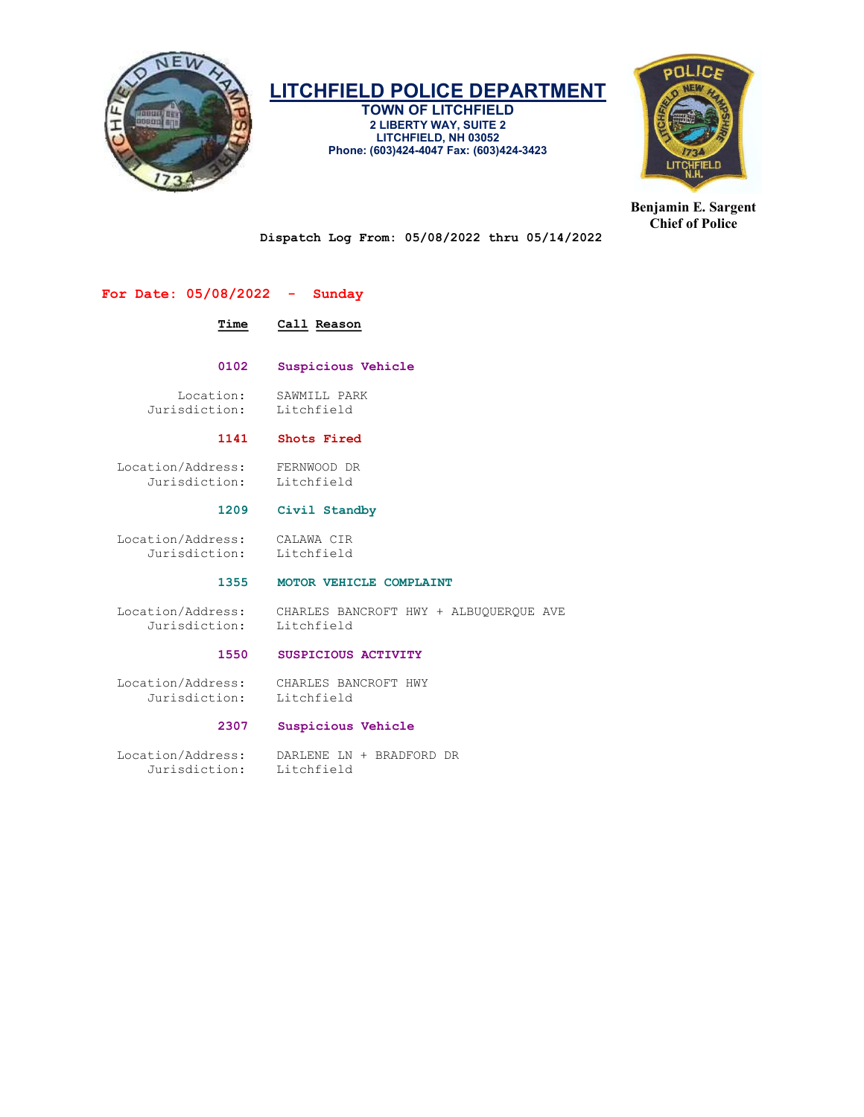

TOWN OF LITCHFIELD 2 LIBERTY WAY, SUITE 2 LITCHFIELD, NH 03052 Phone: (603)424-4047 Fax: (603)424-3423



Benjamin E. Sargent Chief of Police

Dispatch Log From: 05/08/2022 thru 05/14/2022

#### For Date: 05/08/2022 - Sunday

#### Time Call Reason

0102 Suspicious Vehicle

Location: SAWMILL PARK<br>sdiction: Litchfield Jurisdiction:

#### 1141 Shots Fired

 Location/Address: FERNWOOD DR Jurisdiction:

#### 1209 Civil Standby

 Location/Address: CALAWA CIR Jurisdiction: Litchfield

### 1355 MOTOR VEHICLE COMPLAINT

Jurisdiction: Litchfield

Location/Address: CHARLES BANCROFT HWY + ALBUQUERQUE AVE

#### 1550 SUSPICIOUS ACTIVITY

 Location/Address: CHARLES BANCROFT HWY Jurisdiction:

#### 2307 Suspicious Vehicle

 Location/Address: DARLENE LN + BRADFORD DR Jurisdiction: Litchfield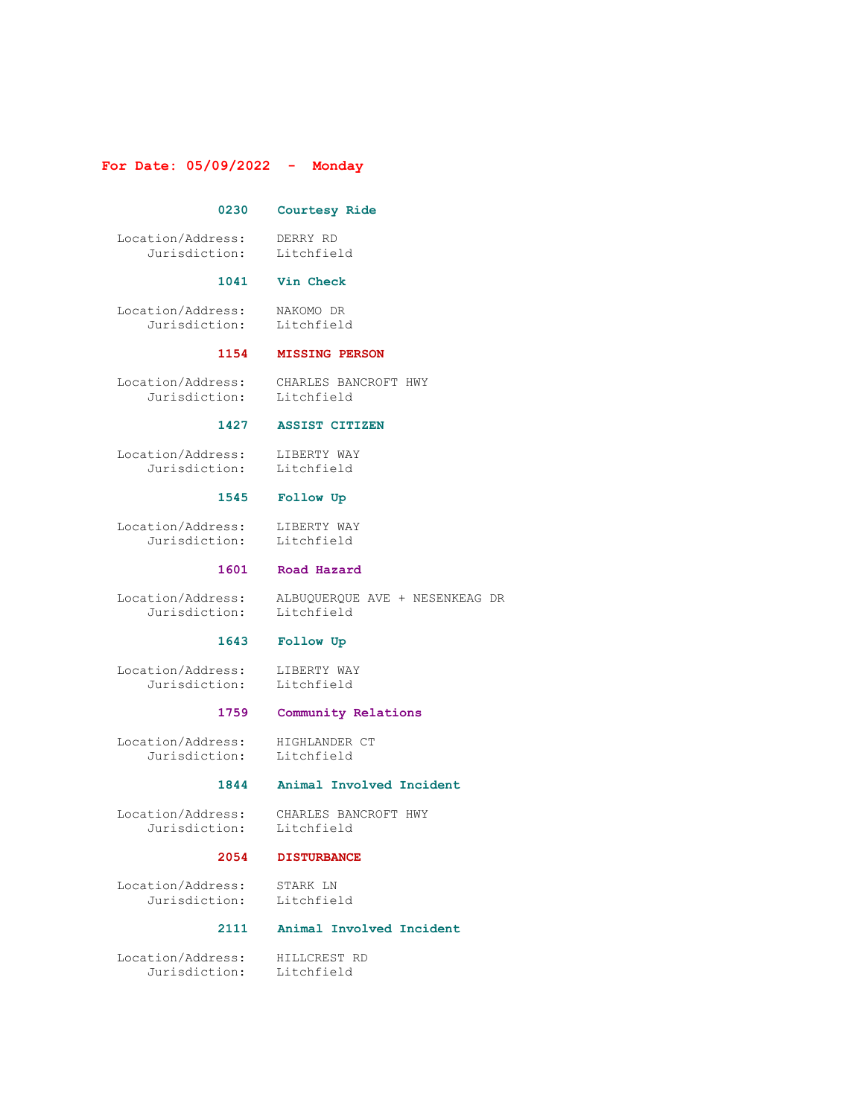#### For Date: 05/09/2022 - Monday

#### 0230 Courtesy Ride

 Location/Address: DERRY RD Jurisdiction: Litchfield

#### 1041 Vin Check

 Location/Address: NAKOMO DR Jurisdiction: Litchfield

#### 1154 MISSING PERSON

 Location/Address: CHARLES BANCROFT HWY Jurisdiction: Litchfield

#### 1427 ASSIST CITIZEN

 Location/Address: LIBERTY WAY Jurisdiction: Litchfield

### 1545 Follow Up

 Location/Address: LIBERTY WAY Jurisdiction: Litchfield

#### 1601 Road Hazard

 Location/Address: ALBUQUERQUE AVE + NESENKEAG DR Jurisdiction: Litchfield

#### 1643 Follow Up

Location/Address: LIBERTY WAY<br>Jurisdiction: Litchfield Jurisdiction:

#### 1759 Community Relations

 Location/Address: HIGHLANDER CT Jurisdiction: Litchfield

#### 1844 Animal Involved Incident

 Location/Address: CHARLES BANCROFT HWY Jurisdiction: Litchfield

#### 2054 DISTURBANCE

 Location/Address: STARK LN Jurisdiction:

#### 2111 Animal Involved Incident

 Location/Address: HILLCREST RD Jurisdiction: Litchfield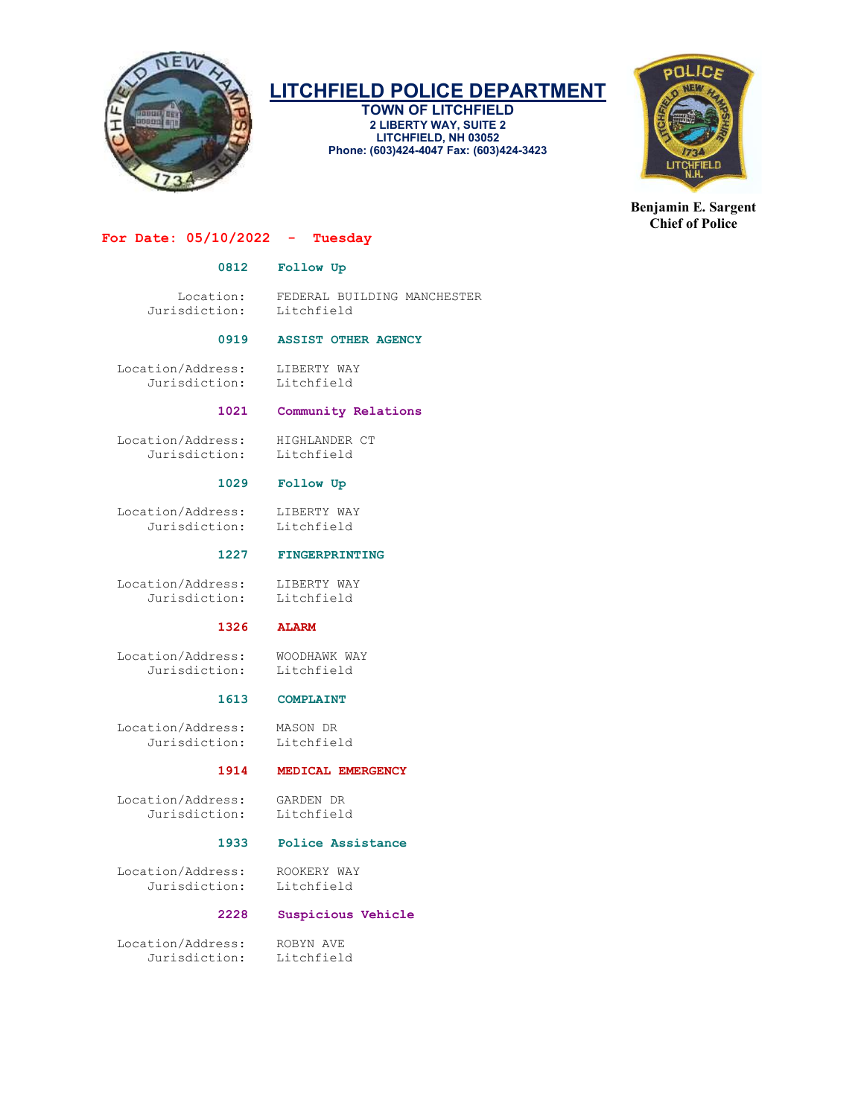

TOWN OF LITCHFIELD 2 LIBERTY WAY, SUITE 2 LITCHFIELD, NH 03052 Phone: (603)424-4047 Fax: (603)424-3423



Benjamin E. Sargent Chief of Police

#### For Date:  $05/10/2022 -$  Tuesday

#### 0812 Follow Up

Location: FEDERAL BUILDING MANCHESTER<br>sdiction: Litchfield Jurisdiction:

#### 0919 ASSIST OTHER AGENCY

 Location/Address: LIBERTY WAY Jurisdiction: Litchfield

#### 1021 Community Relations

 Location/Address: HIGHLANDER CT Jurisdiction:

#### 1029 Follow Up

Location/Address: LIBERTY WAY<br>Jurisdiction: Litchfield Jurisdiction:

1227 FINGERPRINTING

Location/Address: LIBERTY WAY<br>Jurisdiction: Litchfield Jurisdiction:

#### 1326 ALARM

Location/Address: WOODHAWK WAY<br>Jurisdiction: Litchfield Jurisdiction:

#### 1613 COMPLAINT

 Location/Address: MASON DR Jurisdiction:

#### 1914 MEDICAL EMERGENCY

 Location/Address: GARDEN DR Jurisdiction:

#### 1933 Police Assistance

 Location/Address: ROOKERY WAY Jurisdiction: Litchfield

#### 2228 Suspicious Vehicle

 Location/Address: ROBYN AVE Jurisdiction: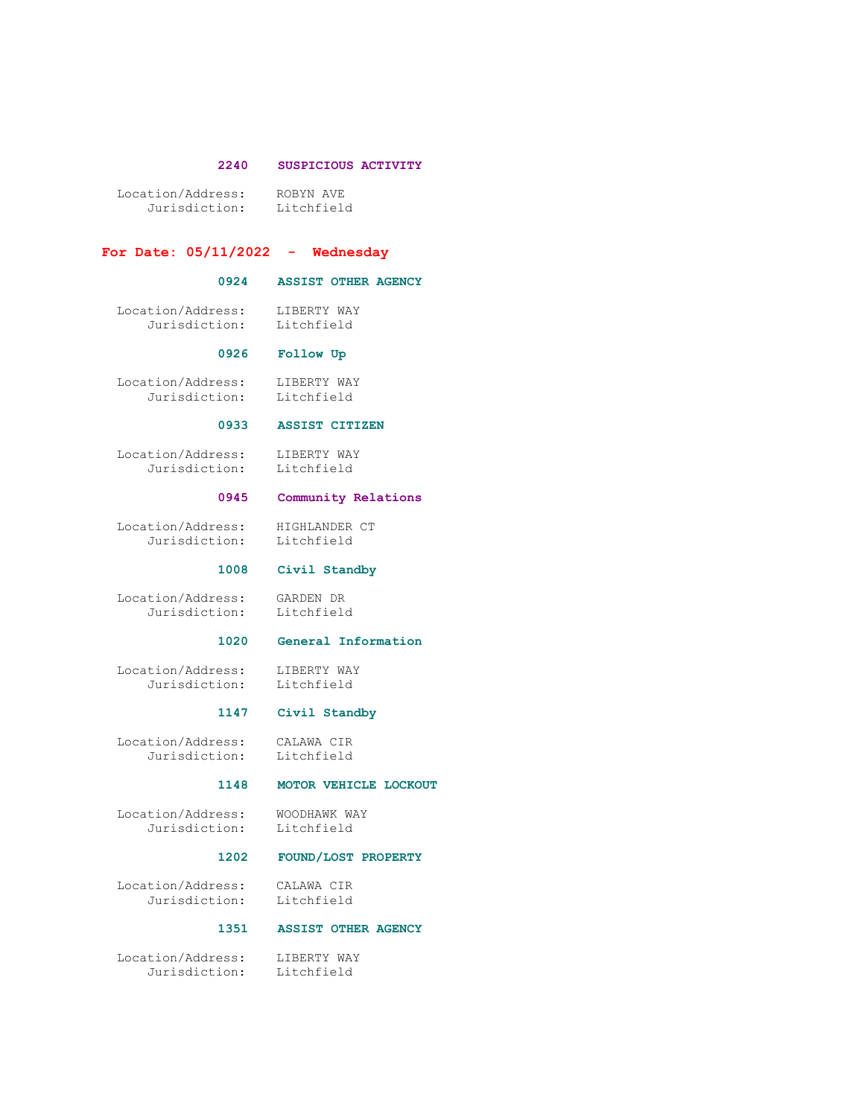#### 2240 SUSPICIOUS ACTIVITY

 Location/Address: ROBYN AVE Jurisdiction: Litchfield

#### For Date:  $05/11/2022 -$  Wednesday

#### 0924 ASSIST OTHER AGENCY

 Location/Address: LIBERTY WAY Jurisdiction: Litchfield

#### 0926 Follow Up

 Location/Address: LIBERTY WAY Jurisdiction: Litchfield

#### 0933 ASSIST CITIZEN

Location/Address: LIBERTY WAY<br>Jurisdiction: Litchfield Jurisdiction:

#### 0945 Community Relations

 Location/Address: HIGHLANDER CT Jurisdiction: Litchfield

#### 1008 Civil Standby

 Location/Address: GARDEN DR Jurisdiction: Litchfield

#### 1020 General Information

Location/Address: LIBERTY WAY<br>Jurisdiction: Litchfield Jurisdiction:

#### 1147 Civil Standby

 Location/Address: CALAWA CIR Jurisdiction: Litchfield

#### 1148 MOTOR VEHICLE LOCKOUT

 Location/Address: WOODHAWK WAY Jurisdiction: Litchfield

#### 1202 FOUND/LOST PROPERTY

 Location/Address: CALAWA CIR Jurisdiction:

#### 1351 ASSIST OTHER AGENCY

 Location/Address: LIBERTY WAY Jurisdiction: Litchfield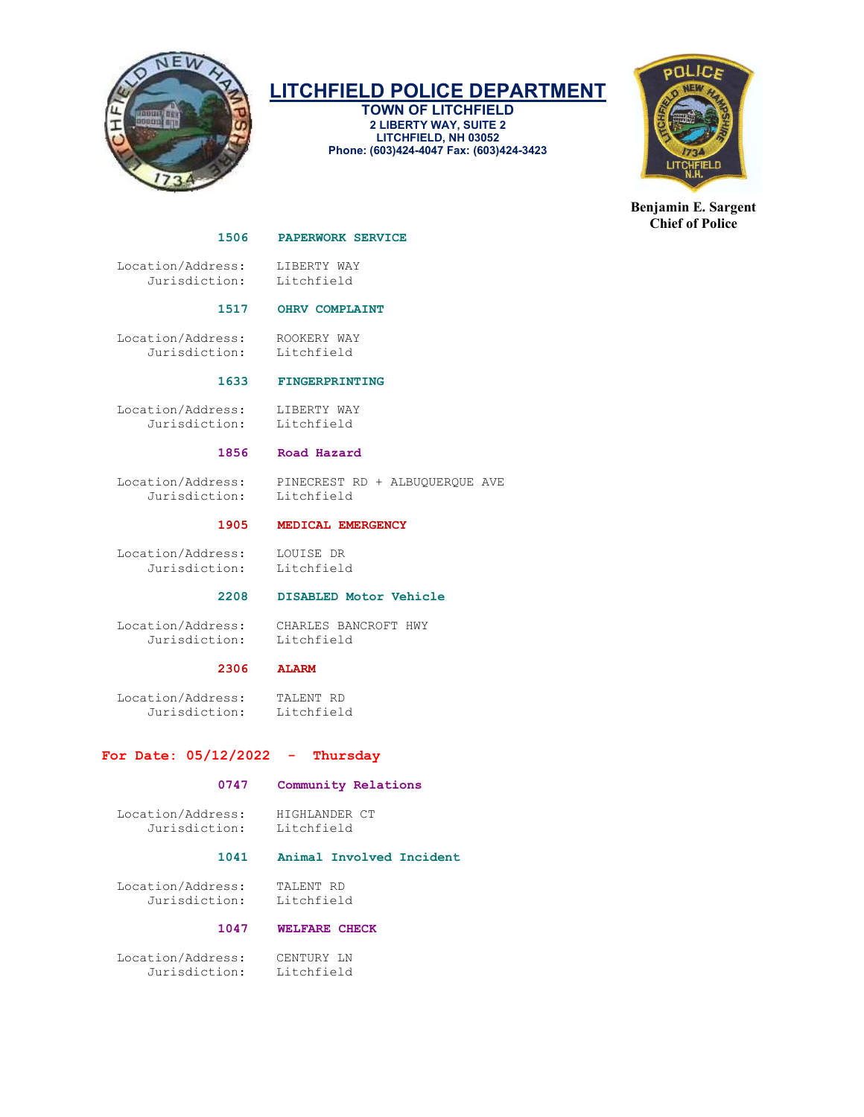

TOWN OF LITCHFIELD 2 LIBERTY WAY, SUITE 2 LITCHFIELD, NH 03052 Phone: (603)424-4047 Fax: (603)424-3423



Benjamin E. Sargent Chief of Police

#### 1506 PAPERWORK SERVICE

Location/Address: LIBERTY WAY<br>Jurisdiction: Litchfield Jurisdiction:

#### 1517 OHRV COMPLAINT

 Location/Address: ROOKERY WAY Jurisdiction: Litchfield

#### 1633 FINGERPRINTING

 Location/Address: LIBERTY WAY Jurisdiction: Litchfield

#### 1856 Road Hazard

Jurisdiction:

Location/Address: PINECREST RD + ALBUQUERQUE AVE<br>Jurisdiction: Litchfield

#### 1905 MEDICAL EMERGENCY

 Location/Address: LOUISE DR Jurisdiction:

### 2208 DISABLED Motor Vehicle

 Location/Address: CHARLES BANCROFT HWY Jurisdiction: Litchfield

# 2306 ALARM

 Location/Address: TALENT RD Jurisdiction:

#### For Date:  $05/12/2022 -$  Thursday

#### 0747 Community Relations

Location/Address: HIGHLANDER CT<br>Jurisdiction: Litchfield Jurisdiction:

#### 1041 Animal Involved Incident

 Location/Address: TALENT RD Jurisdiction:

#### 1047 WELFARE CHECK

 Location/Address: CENTURY LN Jurisdiction: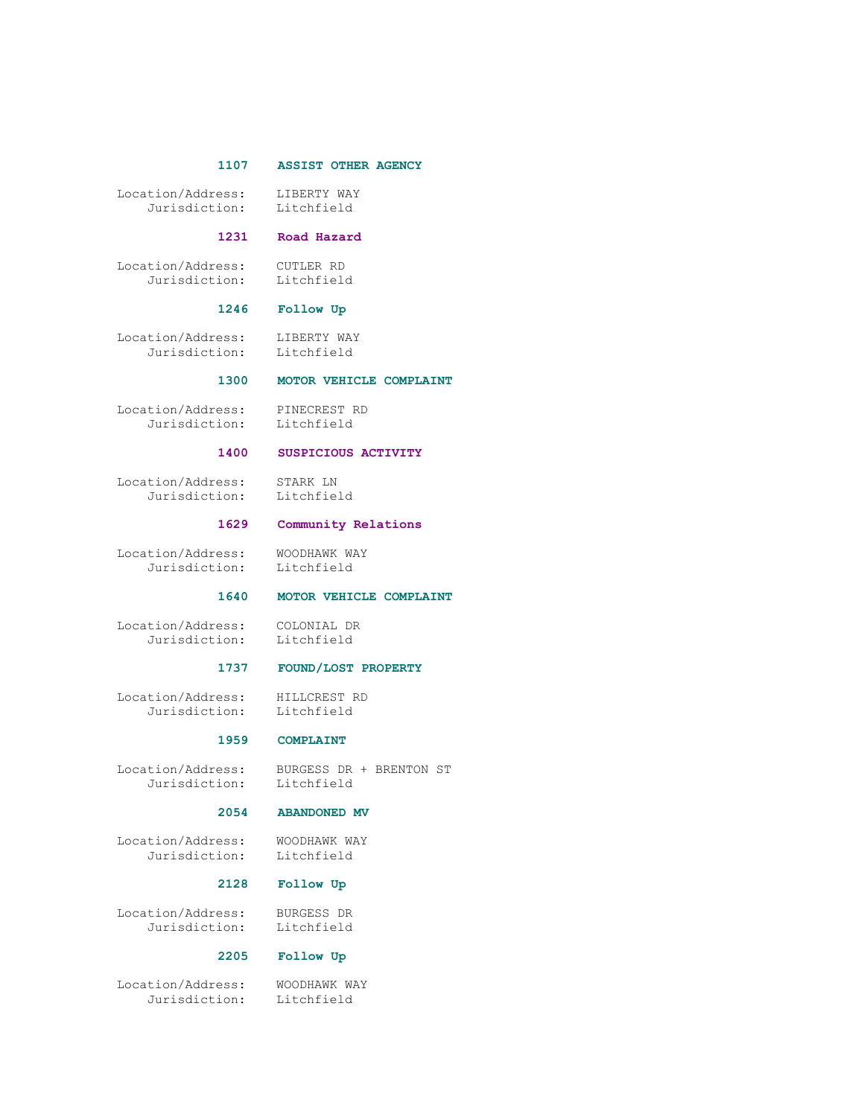#### 1107 ASSIST OTHER AGENCY

Location/Address: LIBERTY WAY<br>Jurisdiction: Litchfield Jurisdiction:

#### 1231 Road Hazard

 Location/Address: CUTLER RD Jurisdiction: Litchfield

#### 1246 Follow Up

 Location/Address: LIBERTY WAY Jurisdiction: Litchfield

#### 1300 MOTOR VEHICLE COMPLAINT

 Location/Address: PINECREST RD Jurisdiction: Litchfield

## 1400 SUSPICIOUS ACTIVITY

 Location/Address: STARK LN Jurisdiction:

#### 1629 Community Relations

Location/Address: WOODHAWK WAY<br>Jurisdiction: Litchfield Jurisdiction:

#### 1640 MOTOR VEHICLE COMPLAINT

Location/Address: COLONIAL DR

# COLONINI<br>Litchfield

#### 1737 FOUND/LOST PROPERTY

 Location/Address: HILLCREST RD Jurisdiction: Litchfield

#### 1959 COMPLAINT

Jurisdiction:

Location/Address: BURGESS DR + BRENTON ST

#### 2054 ABANDONED MV

Location/Address: WOODHAWK WAY<br>Jurisdiction: Litchfield Jurisdiction:

#### 2128 Follow Up

 Location/Address: BURGESS DR Jurisdiction: Litchfield

#### 2205 Follow Up

 Location/Address: WOODHAWK WAY Jurisdiction: Litchfield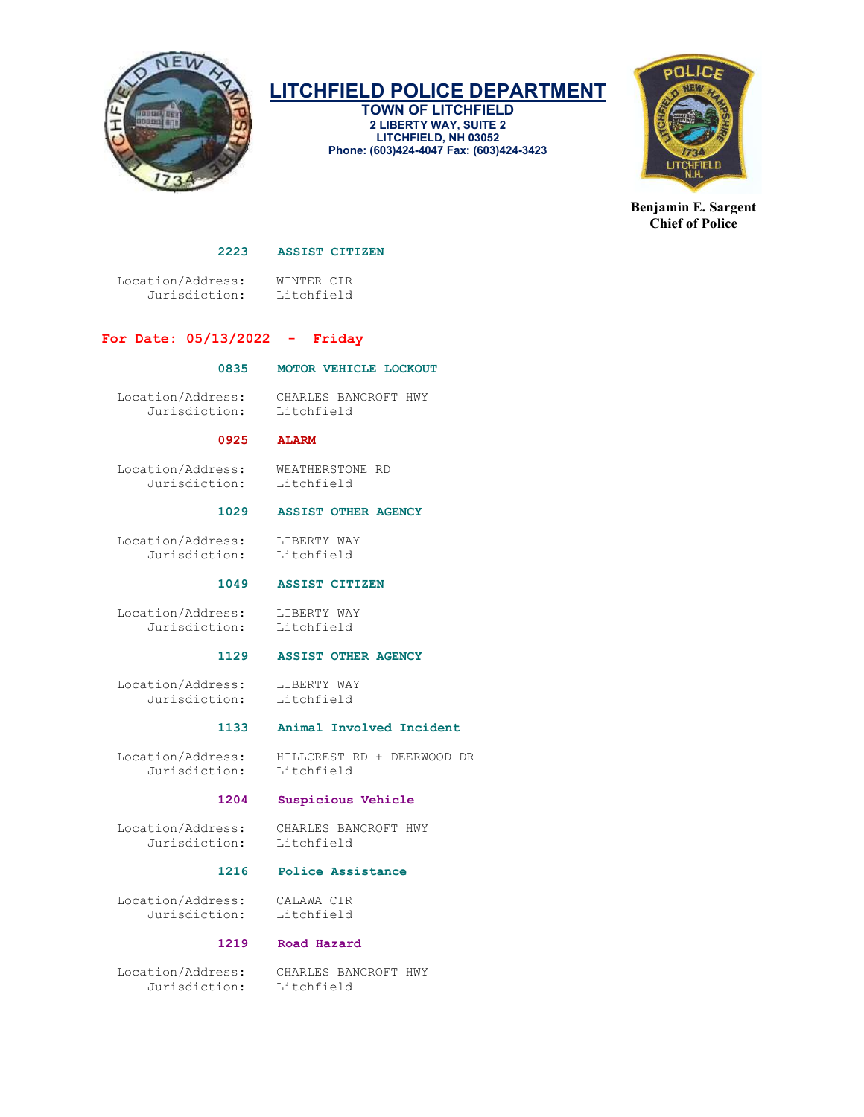

TOWN OF LITCHFIELD 2 LIBERTY WAY, SUITE 2 LITCHFIELD, NH 03052 Phone: (603)424-4047 Fax: (603)424-3423



Benjamin E. Sargent Chief of Police

#### 2223 ASSIST CITIZEN

 Location/Address: WINTER CIR Jurisdiction:

#### For Date: 05/13/2022 - Friday

#### 0835 MOTOR VEHICLE LOCKOUT

Jurisdiction:

Location/Address: CHARLES BANCROFT HWY

#### 0925 ALARM

 Location/Address: WEATHERSTONE RD Jurisdiction: Litchfield

#### 1029 ASSIST OTHER AGENCY

 Location/Address: LIBERTY WAY Jurisdiction: Litchfield

#### 1049 ASSIST CITIZEN

Location/Address: LIBERTY WAY<br>Jurisdiction: Litchfield Jurisdiction:

#### 1129 ASSIST OTHER AGENCY

 Location/Address: LIBERTY WAY Jurisdiction: Litchfield

#### 1133 Animal Involved Incident

Location/Address: HILLCREST RD + DEERWOOD DR<br>Jurisdiction: Litchfield Jurisdiction:

#### 1204 Suspicious Vehicle

 Location/Address: CHARLES BANCROFT HWY Jurisdiction:

## 1216 Police Assistance

 Location/Address: CALAWA CIR Jurisdiction:

#### 1219 Road Hazard

Jurisdiction: Litchfield

Location/Address: CHARLES BANCROFT HWY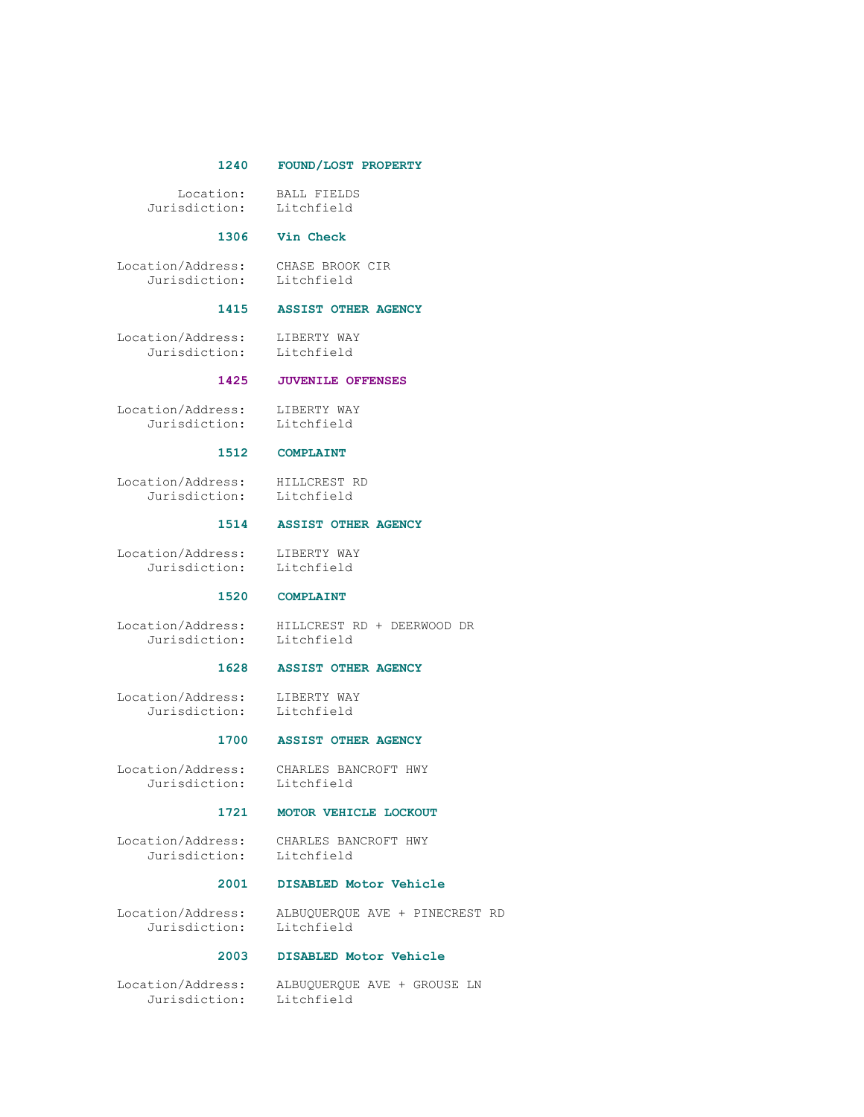#### 1240 FOUND/LOST PROPERTY

Location: BALL FIELDS<br>sdiction: Litchfield Jurisdiction:

#### 1306 Vin Check

Location/Address: CHASE BROOK CIR<br>Jurisdiction: Litchfield Jurisdiction:

#### 1415 ASSIST OTHER AGENCY

 Location/Address: LIBERTY WAY Jurisdiction: Litchfield

#### 1425 JUVENILE OFFENSES

 Location/Address: LIBERTY WAY Jurisdiction: Litchfield

#### 1512 COMPLAINT

Location/Address: HILLCREST RD<br>Jurisdiction: Litchfield Jurisdiction:

#### 1514 ASSIST OTHER AGENCY

Location/Address: LIBERTY WAY<br>Jurisdiction: Litchfield Jurisdiction:

#### 1520 COMPLAINT

Location/Address: HILLCREST RD + DEERWOOD DR<br>Jurisdiction: Litchfield Jurisdiction:

#### 1628 ASSIST OTHER AGENCY

 Location/Address: LIBERTY WAY Jurisdiction: Litchfield

#### 1700 ASSIST OTHER AGENCY

 Location/Address: CHARLES BANCROFT HWY Jurisdiction:

#### 1721 MOTOR VEHICLE LOCKOUT

 Location/Address: CHARLES BANCROFT HWY Jurisdiction:

#### 2001 DISABLED Motor Vehicle

 Location/Address: ALBUQUERQUE AVE + PINECREST RD Jurisdiction: Litchfield

#### 2003 DISABLED Motor Vehicle

 Location/Address: ALBUQUERQUE AVE + GROUSE LN Jurisdiction: Litchfield